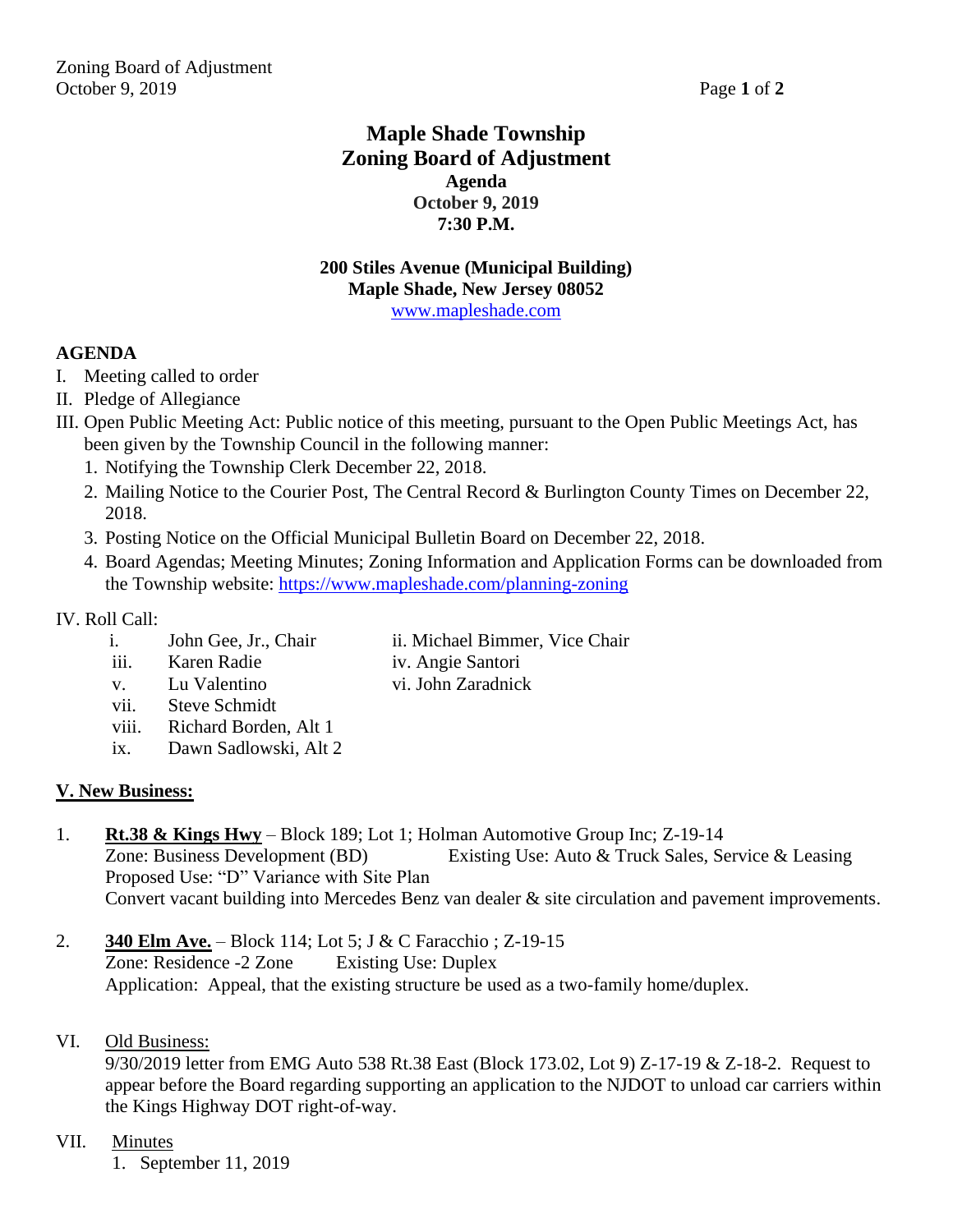# **Maple Shade Township Zoning Board of Adjustment Agenda October 9, 2019 7:30 P.M.**

#### **200 Stiles Avenue (Municipal Building) Maple Shade, New Jersey 08052** [www.mapleshade.com](http://www.mapleshade.com/)

## **AGENDA**

- I. Meeting called to order
- II. Pledge of Allegiance
- III. Open Public Meeting Act: Public notice of this meeting, pursuant to the Open Public Meetings Act, has been given by the Township Council in the following manner:
	- 1. Notifying the Township Clerk December 22, 2018.
	- 2. Mailing Notice to the Courier Post, The Central Record & Burlington County Times on December 22, 2018.
	- 3. Posting Notice on the Official Municipal Bulletin Board on December 22, 2018.
	- 4. Board Agendas; Meeting Minutes; Zoning Information and Application Forms can be downloaded from the Township website:<https://www.mapleshade.com/planning-zoning>

## IV. Roll Call:

- i. John Gee, Jr., Chair ii. Michael Bimmer, Vice Chair
- iii. Karen Radie iv. Angie Santori
	-
- v. Lu Valentino vi. John Zaradnick
	- vii. Steve Schmidt
	- viii. Richard Borden, Alt 1
	- ix. Dawn Sadlowski, Alt 2

## **V. New Business:**

- 1. **Rt.38 & Kings Hwy** Block 189; Lot 1; Holman Automotive Group Inc; Z-19-14 Zone: Business Development (BD) Existing Use: Auto & Truck Sales, Service & Leasing Proposed Use: "D" Variance with Site Plan Convert vacant building into Mercedes Benz van dealer & site circulation and pavement improvements.
- 2. **340 Elm Ave.** Block 114; Lot 5; J & C Faracchio ; Z-19-15 Zone: Residence -2 Zone Existing Use: Duplex Application: Appeal, that the existing structure be used as a two-family home/duplex.
- VI. Old Business:

9/30/2019 letter from EMG Auto 538 Rt.38 East (Block 173.02, Lot 9) Z-17-19 & Z-18-2. Request to appear before the Board regarding supporting an application to the NJDOT to unload car carriers within the Kings Highway DOT right-of-way.

## VII. Minutes

1. September 11, 2019